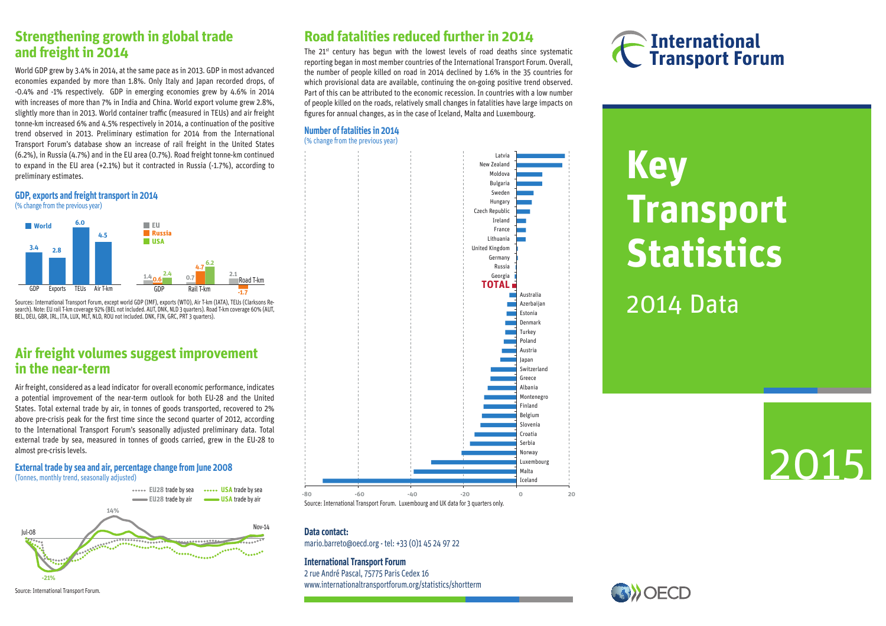### **Strengthening growth in global trade and freight in 2014**

World GDP grew by 3.4% in 2014, at the same pace as in 2013. GDP in most advanced economies expanded by more than 1.8%. Only Italy and Japan recorded drops, of -0.4% and -1% respectively. GDP in emerging economies grew by 4.6% in 2014 with increases of more than 7% in India and China. World export volume grew 2.8%, slightly more than in 2013. World container traffic (measured in TEUs) and air freight tonne-km increased 6% and 4.5% respectively in 2014, a continuation of the positive trend observed in 2013. Preliminary estimation for 2014 from the International Transport Forum's database show an increase of rail freight in the United States (6.2%), in Russia (4.7%) and in the EU area (0.7%). Road freight tonne-km continued to expand in the EU area (+2.1%) but it contracted in Russia (-1.7%), according to preliminary estimates.

### **GDP, exports and freight transport in 2014** (% change from the previous year)



Sources: International Transport Forum, except world GDP (IMF), exports (WTO), Air T-km (IATA), TEUs (Clarksons Research). Note: EU rail T-km coverage 92% (BEL not included. AUT, DNK, NLD 3 quarters). Road T-km coverage 60% (AUT, BEL, DEU, GBR, IRL, ITA, LUX, MLT, NLD, ROU not included. DNK, FIN, GRC, PRT 3 quarters).

### **Air freight volumes suggest improvement in the near-term**

Air freight, considered as a lead indicator for overall economic performance, indicates a potential improvement of the near-term outlook for both EU-28 and the United States. Total external trade by air, in tonnes of goods transported, recovered to 2% above pre-crisis peak for the first time since the second quarter of 2012, according to the International Transport Forum's seasonally adjusted preliminary data. Total external trade by sea, measured in tonnes of goods carried, grew in the EU-28 to almost pre-crisis levels.

### **External trade by sea and air, percentage change from June 2008** (Tonnes, monthly trend, seasonally adjusted)





Source: International Transport Forum.

### **Road fatalities reduced further in 2014**

The  $21^{st}$  century has begun with the lowest levels of road deaths since systematic reporting began in most member countries of the International Transport Forum. Overall, the number of people killed on road in 2014 declined by 1.6% in the 35 countries for which provisional data are available, continuing the on-going positive trend observed. Part of this can be attributed to the economic recession. In countries with a low number of people killed on the roads, relatively small changes in fatalities have large impacts on figures for annual changes, as in the case of Iceland, Malta and Luxembourg.

### **Number of fatalities in 2014** (% change from the previous year)



## **International Transport Forum**

# **Key Transport Statistics**

2014 Data



### **Data contact:**

mario.barreto@oecd.org - tel: +33 (0)1 45 24 97 22

### **International Transport Forum**

2 rue André Pascal, 75775 Paris Cedex 16 www.internationaltransportforum.org/statistics/shortterm